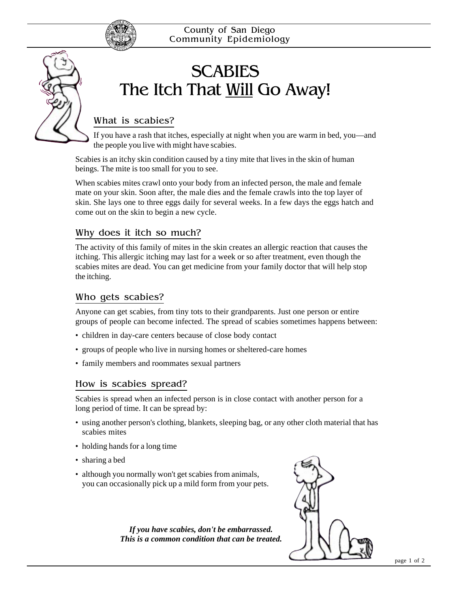



# **SCABIES** The Itch That Will Go Away!

# What is scabies?

If you have a rash that itches, especially at night when you are warm in bed, you—and the people you live with might have scabies.

Scabies is an itchy skin condition caused by a tiny mite that lives in the skin of human beings. The mite is too small for you to see.

When scabies mites crawl onto your body from an infected person, the male and female mate on your skin. Soon after, the male dies and the female crawls into the top layer of skin. She lays one to three eggs daily for several weeks. In a few days the eggs hatch and come out on the skin to begin a new cycle.

# Why does it itch so much?

The activity of this family of mites in the skin creates an allergic reaction that causes the itching. This allergic itching may last for a week or so after treatment, even though the scabies mites are dead. You can get medicine from your family doctor that will help stop the itching.

#### Who gets scabies?

Anyone can get scabies, from tiny tots to their grandparents. Just one person or entire groups of people can become infected. The spread of scabies sometimes happens between:

- children in day-care centers because of close body contact
- groups of people who live in nursing homes or sheltered-care homes
- family members and roommates sexual partners

### How is scabies spread?

Scabies is spread when an infected person is in close contact with another person for a long period of time. It can be spread by:

- using another person's clothing, blankets, sleeping bag, or any other cloth material that has scabies mites
- holding hands for a long time
- sharing a bed
- although you normally won't get scabies from animals, you can occasionally pick up a mild form from your pets.

*If you have scabies, don't be embarrassed. This is a common condition that can be treated.*